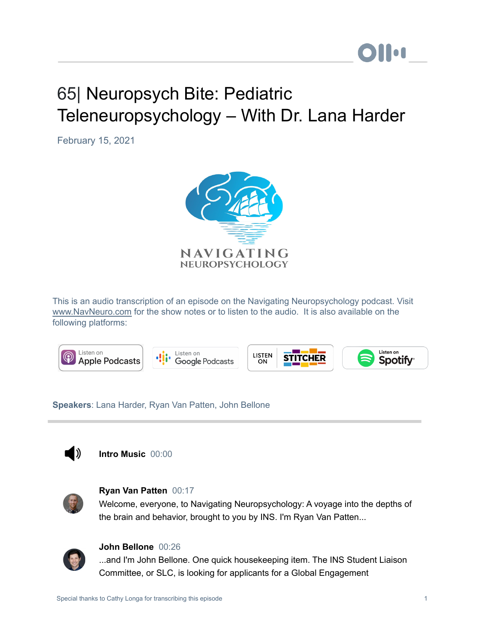# **Mon**

## 65| Neuropsych Bite: Pediatric Teleneuropsychology – With Dr. Lana Harder

February 15, 2021



This is an audio transcription of an episode on the Navigating Neuropsychology podcast. Visit [www.NavNeuro.com](http://www.navneuro.com/) for the show notes or to listen to the audio. It is also available on the following platforms:



**Speakers**: Lana Harder, Ryan Van Patten, John Bellone



**Intro Music** 00:00



#### **Ryan Van Patten** 00:17

Welcome, everyone, to Navigating Neuropsychology: A voyage into the depths of the brain and behavior, brought to you by INS. I'm Ryan Van Patten...



#### **John Bellone** 00:26

...and I'm John Bellone. One quick housekeeping item. The INS Student Liaison Committee, or SLC, is looking for applicants for a Global Engagement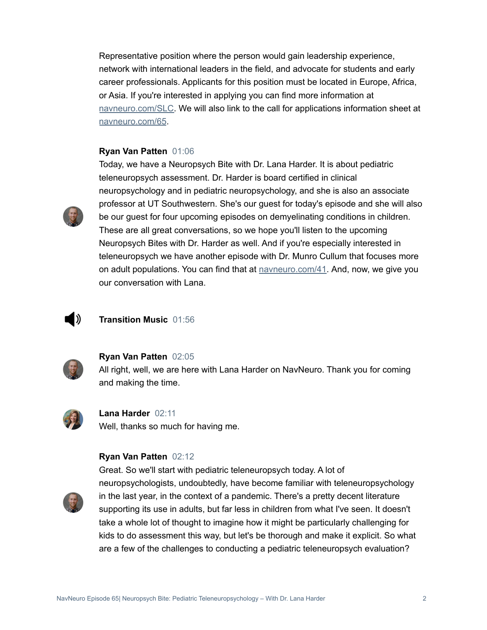Representative position where the person would gain leadership experience, network with international leaders in the field, and advocate for students and early career professionals. Applicants for this position must be located in Europe, Africa, or Asia. If you're interested in applying you can find more information at [navneuro.com/SLC.](http://navneuro.com/SLC) We will also link to the call for applications information sheet at [navneuro.com/65](http://navneuro.com/65).

#### **Ryan Van Patten** 01:06



Today, we have a Neuropsych Bite with Dr. Lana Harder. It is about pediatric teleneuropsych assessment. Dr. Harder is board certified in clinical neuropsychology and in pediatric neuropsychology, and she is also an associate professor at UT Southwestern. She's our guest for today's episode and she will also be our guest for four upcoming episodes on demyelinating conditions in children. These are all great conversations, so we hope you'll listen to the upcoming Neuropsych Bites with Dr. Harder as well. And if you're especially interested in teleneuropsych we have another episode with Dr. Munro Cullum that focuses more on adult populations. You can find that at **navneuro.com/41**. And, now, we give you our conversation with Lana.

### ▌》

#### **Transition Music** 01:56



#### **Ryan Van Patten** 02:05

All right, well, we are here with Lana Harder on NavNeuro. Thank you for coming and making the time.



**Lana Harder** 02:11 Well, thanks so much for having me.

#### **Ryan Van Patten** 02:12



Great. So we'll start with pediatric teleneuropsych today. A lot of neuropsychologists, undoubtedly, have become familiar with teleneuropsychology in the last year, in the context of a pandemic. There's a pretty decent literature supporting its use in adults, but far less in children from what I've seen. It doesn't take a whole lot of thought to imagine how it might be particularly challenging for kids to do assessment this way, but let's be thorough and make it explicit. So what are a few of the challenges to conducting a pediatric teleneuropsych evaluation?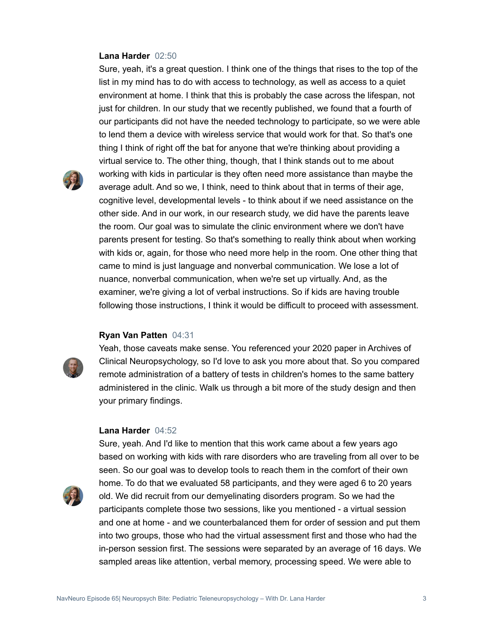#### **Lana Harder** 02:50

Sure, yeah, it's a great question. I think one of the things that rises to the top of the list in my mind has to do with access to technology, as well as access to a quiet environment at home. I think that this is probably the case across the lifespan, not just for children. In our study that we recently published, we found that a fourth of our participants did not have the needed technology to participate, so we were able to lend them a device with wireless service that would work for that. So that's one thing I think of right off the bat for anyone that we're thinking about providing a virtual service to. The other thing, though, that I think stands out to me about working with kids in particular is they often need more assistance than maybe the average adult. And so we, I think, need to think about that in terms of their age, cognitive level, developmental levels - to think about if we need assistance on the other side. And in our work, in our research study, we did have the parents leave the room. Our goal was to simulate the clinic environment where we don't have parents present for testing. So that's something to really think about when working with kids or, again, for those who need more help in the room. One other thing that came to mind is just language and nonverbal communication. We lose a lot of nuance, nonverbal communication, when we're set up virtually. And, as the examiner, we're giving a lot of verbal instructions. So if kids are having trouble following those instructions, I think it would be difficult to proceed with assessment.

#### **Ryan Van Patten** 04:31



Yeah, those caveats make sense. You referenced your 2020 paper in Archives of Clinical Neuropsychology, so I'd love to ask you more about that. So you compared remote administration of a battery of tests in children's homes to the same battery administered in the clinic. Walk us through a bit more of the study design and then your primary findings.

#### **Lana Harder** 04:52



Sure, yeah. And I'd like to mention that this work came about a few years ago based on working with kids with rare disorders who are traveling from all over to be seen. So our goal was to develop tools to reach them in the comfort of their own home. To do that we evaluated 58 participants, and they were aged 6 to 20 years old. We did recruit from our demyelinating disorders program. So we had the participants complete those two sessions, like you mentioned - a virtual session and one at home - and we counterbalanced them for order of session and put them into two groups, those who had the virtual assessment first and those who had the in-person session first. The sessions were separated by an average of 16 days. We sampled areas like attention, verbal memory, processing speed. We were able to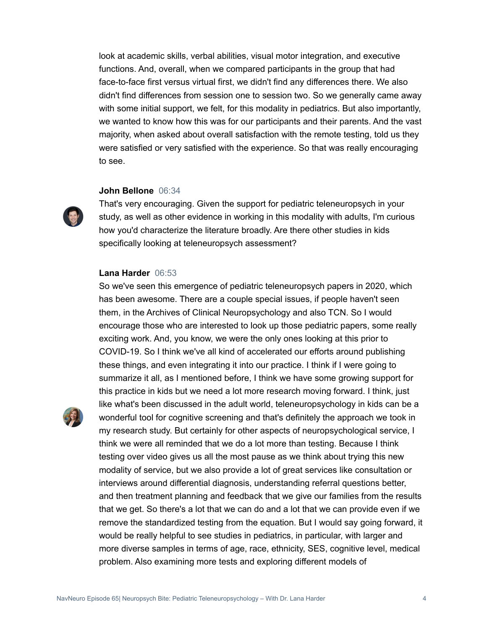look at academic skills, verbal abilities, visual motor integration, and executive functions. And, overall, when we compared participants in the group that had face-to-face first versus virtual first, we didn't find any differences there. We also didn't find differences from session one to session two. So we generally came away with some initial support, we felt, for this modality in pediatrics. But also importantly, we wanted to know how this was for our participants and their parents. And the vast majority, when asked about overall satisfaction with the remote testing, told us they were satisfied or very satisfied with the experience. So that was really encouraging to see.

#### **John Bellone** 06:34

That's very encouraging. Given the support for pediatric teleneuropsych in your study, as well as other evidence in working in this modality with adults, I'm curious how you'd characterize the literature broadly. Are there other studies in kids specifically looking at teleneuropsych assessment?

So we've seen this emergence of pediatric teleneuropsych papers in 2020, which

#### **Lana Harder** 06:53

has been awesome. There are a couple special issues, if people haven't seen them, in the Archives of Clinical Neuropsychology and also TCN. So I would encourage those who are interested to look up those pediatric papers, some really exciting work. And, you know, we were the only ones looking at this prior to COVID-19. So I think we've all kind of accelerated our efforts around publishing these things, and even integrating it into our practice. I think if I were going to summarize it all, as I mentioned before, I think we have some growing support for this practice in kids but we need a lot more research moving forward. I think, just like what's been discussed in the adult world, teleneuropsychology in kids can be a wonderful tool for cognitive screening and that's definitely the approach we took in my research study. But certainly for other aspects of neuropsychological service, I think we were all reminded that we do a lot more than testing. Because I think testing over video gives us all the most pause as we think about trying this new modality of service, but we also provide a lot of great services like consultation or interviews around differential diagnosis, understanding referral questions better, and then treatment planning and feedback that we give our families from the results that we get. So there's a lot that we can do and a lot that we can provide even if we remove the standardized testing from the equation. But I would say going forward, it would be really helpful to see studies in pediatrics, in particular, with larger and more diverse samples in terms of age, race, ethnicity, SES, cognitive level, medical problem. Also examining more tests and exploring different models of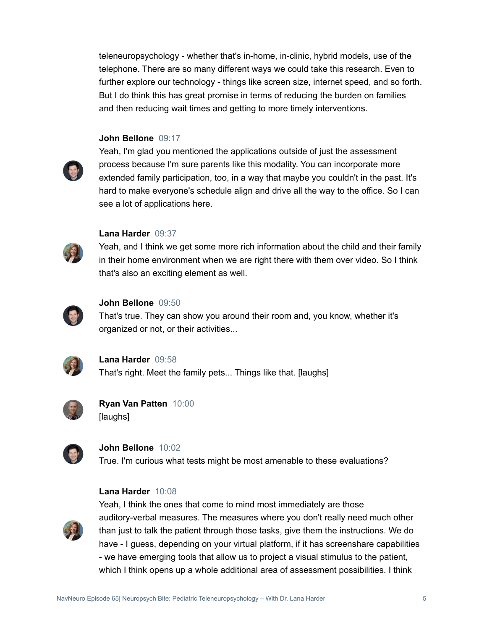teleneuropsychology - whether that's in-home, in-clinic, hybrid models, use of the telephone. There are so many different ways we could take this research. Even to further explore our technology - things like screen size, internet speed, and so forth. But I do think this has great promise in terms of reducing the burden on families and then reducing wait times and getting to more timely interventions.

#### **John Bellone** 09:17



Yeah, I'm glad you mentioned the applications outside of just the assessment process because I'm sure parents like this modality. You can incorporate more extended family participation, too, in a way that maybe you couldn't in the past. It's hard to make everyone's schedule align and drive all the way to the office. So I can see a lot of applications here.



#### **Lana Harder** 09:37

Yeah, and I think we get some more rich information about the child and their family in their home environment when we are right there with them over video. So I think that's also an exciting element as well.



#### **John Bellone** 09:50

That's true. They can show you around their room and, you know, whether it's organized or not, or their activities...



**Lana Harder** 09:58 That's right. Meet the family pets... Things like that. [laughs]



**Ryan Van Patten** 10:00 [laughs]



**John Bellone** 10:02

True. I'm curious what tests might be most amenable to these evaluations?

#### **Lana Harder** 10:08



Yeah, I think the ones that come to mind most immediately are those auditory-verbal measures. The measures where you don't really need much other than just to talk the patient through those tasks, give them the instructions. We do have - I guess, depending on your virtual platform, if it has screenshare capabilities - we have emerging tools that allow us to project a visual stimulus to the patient, which I think opens up a whole additional area of assessment possibilities. I think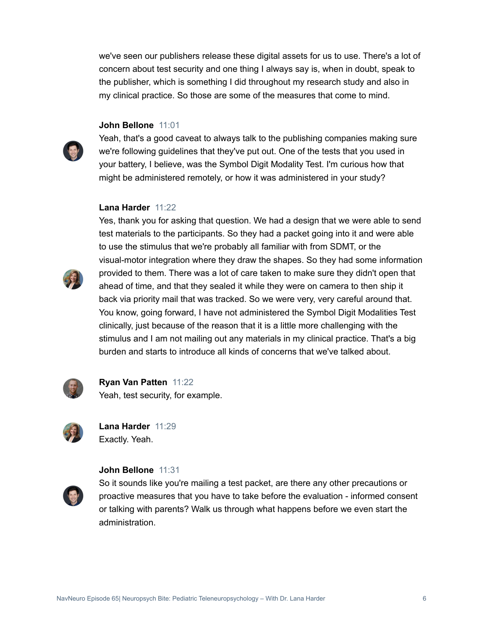we've seen our publishers release these digital assets for us to use. There's a lot of concern about test security and one thing I always say is, when in doubt, speak to the publisher, which is something I did throughout my research study and also in my clinical practice. So those are some of the measures that come to mind.

#### **John Bellone** 11:01



Yeah, that's a good caveat to always talk to the publishing companies making sure we're following guidelines that they've put out. One of the tests that you used in your battery, I believe, was the Symbol Digit Modality Test. I'm curious how that might be administered remotely, or how it was administered in your study?

#### **Lana Harder** 11:22



Yes, thank you for asking that question. We had a design that we were able to send test materials to the participants. So they had a packet going into it and were able to use the stimulus that we're probably all familiar with from SDMT, or the visual-motor integration where they draw the shapes. So they had some information provided to them. There was a lot of care taken to make sure they didn't open that ahead of time, and that they sealed it while they were on camera to then ship it back via priority mail that was tracked. So we were very, very careful around that. You know, going forward, I have not administered the Symbol Digit Modalities Test clinically, just because of the reason that it is a little more challenging with the stimulus and I am not mailing out any materials in my clinical practice. That's a big burden and starts to introduce all kinds of concerns that we've talked about.



**Ryan Van Patten** 11:22 Yeah, test security, for example.



**Lana Harder** 11:29 Exactly. Yeah.

#### **John Bellone** 11:31

So it sounds like you're mailing a test packet, are there any other precautions or proactive measures that you have to take before the evaluation - informed consent or talking with parents? Walk us through what happens before we even start the administration.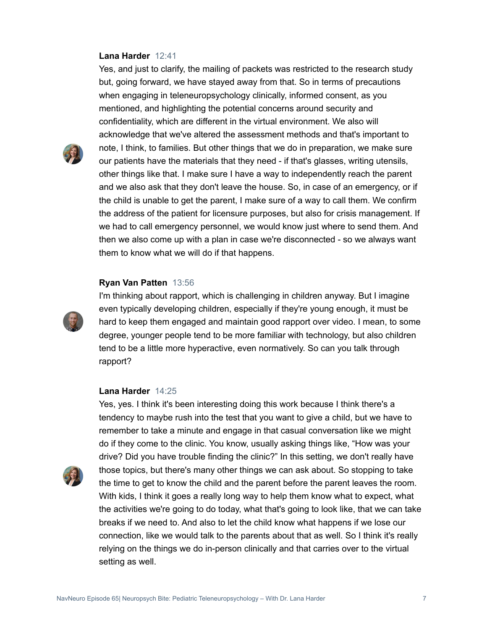#### **Lana Harder** 12:41

Yes, and just to clarify, the mailing of packets was restricted to the research study but, going forward, we have stayed away from that. So in terms of precautions when engaging in teleneuropsychology clinically, informed consent, as you mentioned, and highlighting the potential concerns around security and confidentiality, which are different in the virtual environment. We also will acknowledge that we've altered the assessment methods and that's important to note, I think, to families. But other things that we do in preparation, we make sure our patients have the materials that they need - if that's glasses, writing utensils, other things like that. I make sure I have a way to independently reach the parent and we also ask that they don't leave the house. So, in case of an emergency, or if the child is unable to get the parent, I make sure of a way to call them. We confirm the address of the patient for licensure purposes, but also for crisis management. If we had to call emergency personnel, we would know just where to send them. And then we also come up with a plan in case we're disconnected - so we always want them to know what we will do if that happens.

#### **Ryan Van Patten** 13:56



I'm thinking about rapport, which is challenging in children anyway. But I imagine even typically developing children, especially if they're young enough, it must be hard to keep them engaged and maintain good rapport over video. I mean, to some degree, younger people tend to be more familiar with technology, but also children tend to be a little more hyperactive, even normatively. So can you talk through rapport?

#### **Lana Harder** 14:25

remember to take a minute and engage in that casual conversation like we might do if they come to the clinic. You know, usually asking things like, "How was your drive? Did you have trouble finding the clinic?" In this setting, we don't really have those topics, but there's many other things we can ask about. So stopping to take the time to get to know the child and the parent before the parent leaves the room. With kids, I think it goes a really long way to help them know what to expect, what the activities we're going to do today, what that's going to look like, that we can take breaks if we need to. And also to let the child know what happens if we lose our connection, like we would talk to the parents about that as well. So I think it's really relying on the things we do in-person clinically and that carries over to the virtual setting as well.

Yes, yes. I think it's been interesting doing this work because I think there's a tendency to maybe rush into the test that you want to give a child, but we have to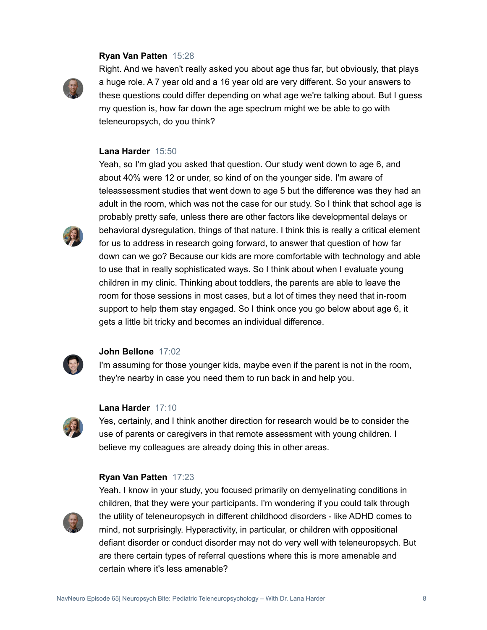#### **Ryan Van Patten** 15:28



Right. And we haven't really asked you about age thus far, but obviously, that plays a huge role. A 7 year old and a 16 year old are very different. So your answers to these questions could differ depending on what age we're talking about. But I guess my question is, how far down the age spectrum might we be able to go with teleneuropsych, do you think?

#### **Lana Harder** 15:50



Yeah, so I'm glad you asked that question. Our study went down to age 6, and about 40% were 12 or under, so kind of on the younger side. I'm aware of teleassessment studies that went down to age 5 but the difference was they had an adult in the room, which was not the case for our study. So I think that school age is probably pretty safe, unless there are other factors like developmental delays or behavioral dysregulation, things of that nature. I think this is really a critical element for us to address in research going forward, to answer that question of how far down can we go? Because our kids are more comfortable with technology and able to use that in really sophisticated ways. So I think about when I evaluate young children in my clinic. Thinking about toddlers, the parents are able to leave the room for those sessions in most cases, but a lot of times they need that in-room support to help them stay engaged. So I think once you go below about age 6, it gets a little bit tricky and becomes an individual difference.



#### **John Bellone** 17:02

I'm assuming for those younger kids, maybe even if the parent is not in the room, they're nearby in case you need them to run back in and help you.

#### **Lana Harder** 17:10

Yes, certainly, and I think another direction for research would be to consider the use of parents or caregivers in that remote assessment with young children. I believe my colleagues are already doing this in other areas.

#### **Ryan Van Patten** 17:23



Yeah. I know in your study, you focused primarily on demyelinating conditions in children, that they were your participants. I'm wondering if you could talk through the utility of teleneuropsych in different childhood disorders - like ADHD comes to mind, not surprisingly. Hyperactivity, in particular, or children with oppositional defiant disorder or conduct disorder may not do very well with teleneuropsych. But are there certain types of referral questions where this is more amenable and certain where it's less amenable?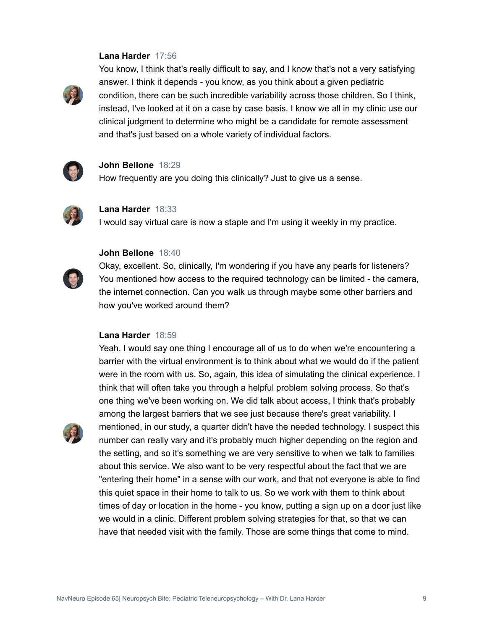#### **Lana Harder** 17:56



You know, I think that's really difficult to say, and I know that's not a very satisfying answer. I think it depends - you know, as you think about a given pediatric condition, there can be such incredible variability across those children. So I think, instead, I've looked at it on a case by case basis. I know we all in my clinic use our clinical judgment to determine who might be a candidate for remote assessment and that's just based on a whole variety of individual factors.



#### **John Bellone** 18:29

How frequently are you doing this clinically? Just to give us a sense.



#### **Lana Harder** 18:33

I would say virtual care is now a staple and I'm using it weekly in my practice.

#### **John Bellone** 18:40



Okay, excellent. So, clinically, I'm wondering if you have any pearls for listeners? You mentioned how access to the required technology can be limited - the camera, the internet connection. Can you walk us through maybe some other barriers and how you've worked around them?

#### **Lana Harder** 18:59

Yeah. I would say one thing I encourage all of us to do when we're encountering a barrier with the virtual environment is to think about what we would do if the patient were in the room with us. So, again, this idea of simulating the clinical experience. I think that will often take you through a helpful problem solving process. So that's one thing we've been working on. We did talk about access, I think that's probably among the largest barriers that we see just because there's great variability. I mentioned, in our study, a quarter didn't have the needed technology. I suspect this number can really vary and it's probably much higher depending on the region and the setting, and so it's something we are very sensitive to when we talk to families about this service. We also want to be very respectful about the fact that we are "entering their home" in a sense with our work, and that not everyone is able to find this quiet space in their home to talk to us. So we work with them to think about times of day or location in the home - you know, putting a sign up on a door just like we would in a clinic. Different problem solving strategies for that, so that we can have that needed visit with the family. Those are some things that come to mind.

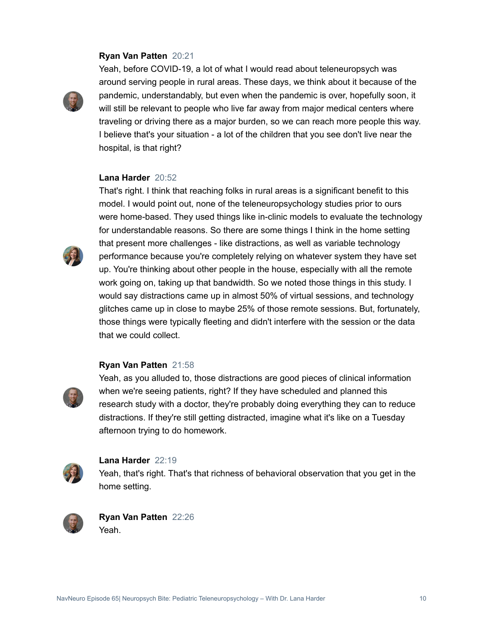#### **Ryan Van Patten** 20:21



Yeah, before COVID-19, a lot of what I would read about teleneuropsych was around serving people in rural areas. These days, we think about it because of the pandemic, understandably, but even when the pandemic is over, hopefully soon, it will still be relevant to people who live far away from major medical centers where traveling or driving there as a major burden, so we can reach more people this way. I believe that's your situation - a lot of the children that you see don't live near the hospital, is that right?

#### **Lana Harder** 20:52



That's right. I think that reaching folks in rural areas is a significant benefit to this model. I would point out, none of the teleneuropsychology studies prior to ours were home-based. They used things like in-clinic models to evaluate the technology for understandable reasons. So there are some things I think in the home setting that present more challenges - like distractions, as well as variable technology performance because you're completely relying on whatever system they have set up. You're thinking about other people in the house, especially with all the remote work going on, taking up that bandwidth. So we noted those things in this study. I would say distractions came up in almost 50% of virtual sessions, and technology glitches came up in close to maybe 25% of those remote sessions. But, fortunately, those things were typically fleeting and didn't interfere with the session or the data that we could collect.

#### **Ryan Van Patten** 21:58

Yeah, as you alluded to, those distractions are good pieces of clinical information when we're seeing patients, right? If they have scheduled and planned this research study with a doctor, they're probably doing everything they can to reduce distractions. If they're still getting distracted, imagine what it's like on a Tuesday afternoon trying to do homework.



#### **Lana Harder** 22:19

Yeah, that's right. That's that richness of behavioral observation that you get in the home setting.



**Ryan Van Patten** 22:26 Yeah.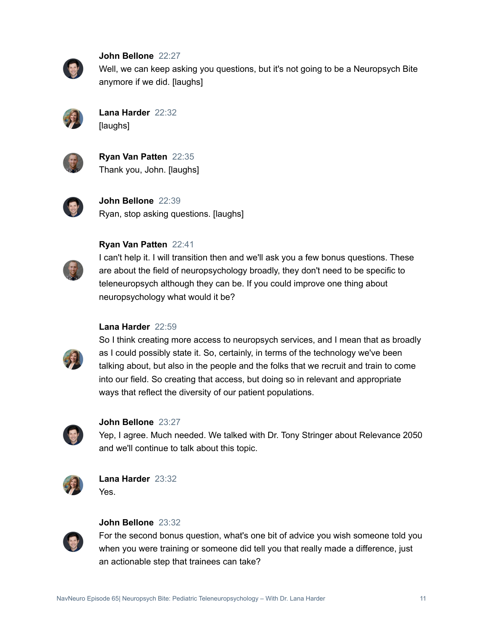

**John Bellone** 22:27

Well, we can keep asking you questions, but it's not going to be a Neuropsych Bite anymore if we did. [laughs]



**Lana Harder** 22:32 [laughs]



**Ryan Van Patten** 22:35 Thank you, John. [laughs]



**John Bellone** 22:39 Ryan, stop asking questions. [laughs]



**Ryan Van Patten** 22:41

I can't help it. I will transition then and we'll ask you a few bonus questions. These are about the field of neuropsychology broadly, they don't need to be specific to teleneuropsych although they can be. If you could improve one thing about neuropsychology what would it be?

#### **Lana Harder** 22:59



So I think creating more access to neuropsych services, and I mean that as broadly as I could possibly state it. So, certainly, in terms of the technology we've been talking about, but also in the people and the folks that we recruit and train to come into our field. So creating that access, but doing so in relevant and appropriate ways that reflect the diversity of our patient populations.



#### **John Bellone** 23:27

Yep, I agree. Much needed. We talked with Dr. Tony Stringer about Relevance 2050 and we'll continue to talk about this topic.



**Lana Harder** 23:32 Yes.



#### **John Bellone** 23:32

For the second bonus question, what's one bit of advice you wish someone told you when you were training or someone did tell you that really made a difference, just an actionable step that trainees can take?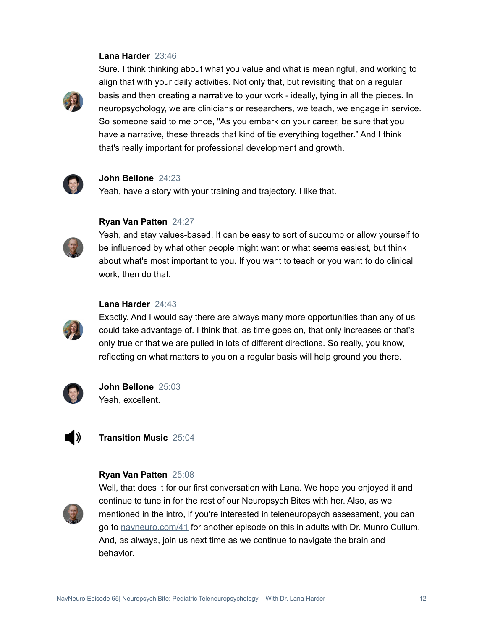#### **Lana Harder** 23:46



Sure. I think thinking about what you value and what is meaningful, and working to align that with your daily activities. Not only that, but revisiting that on a regular basis and then creating a narrative to your work - ideally, tying in all the pieces. In neuropsychology, we are clinicians or researchers, we teach, we engage in service. So someone said to me once, "As you embark on your career, be sure that you have a narrative, these threads that kind of tie everything together." And I think that's really important for professional development and growth.



#### **John Bellone** 24:23

Yeah, have a story with your training and trajectory. I like that.



#### **Ryan Van Patten** 24:27

Yeah, and stay values-based. It can be easy to sort of succumb or allow yourself to be influenced by what other people might want or what seems easiest, but think about what's most important to you. If you want to teach or you want to do clinical work, then do that.

#### **Lana Harder** 24:43

Exactly. And I would say there are always many more opportunities than any of us could take advantage of. I think that, as time goes on, that only increases or that's only true or that we are pulled in lots of different directions. So really, you know, reflecting on what matters to you on a regular basis will help ground you there.



**John Bellone** 25:03 Yeah, excellent.



**Transition Music** 25:04

#### **Ryan Van Patten** 25:08



Well, that does it for our first conversation with Lana. We hope you enjoyed it and continue to tune in for the rest of our Neuropsych Bites with her. Also, as we mentioned in the intro, if you're interested in teleneuropsych assessment, you can go to [navneuro.com/41](http://navneuro.com/41) for another episode on this in adults with Dr. Munro Cullum. And, as always, join us next time as we continue to navigate the brain and behavior.